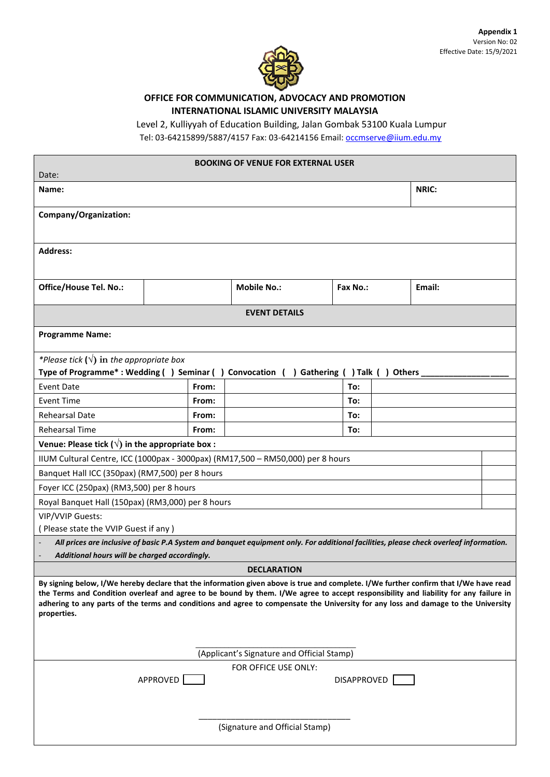

## **OFFICE FOR COMMUNICATION, ADVOCACY AND PROMOTION INTERNATIONAL ISLAMIC UNIVERSITY MALAYSIA**

Level 2, Kulliyyah of Education Building, Jalan Gombak 53100 Kuala Lumpur

Tel: 03-64215899/5887/4157 Fax: 03-64214156 Email: occmserve@iium.edu.my

| Date:                                                                                                                                                                                                                                                                                                                                                                                                                              |          | <b>BOOKING OF VENUE FOR EXTERNAL USER</b> |  |             |  |        |  |  |  |  |
|------------------------------------------------------------------------------------------------------------------------------------------------------------------------------------------------------------------------------------------------------------------------------------------------------------------------------------------------------------------------------------------------------------------------------------|----------|-------------------------------------------|--|-------------|--|--------|--|--|--|--|
| Name:                                                                                                                                                                                                                                                                                                                                                                                                                              | NRIC:    |                                           |  |             |  |        |  |  |  |  |
| Company/Organization:                                                                                                                                                                                                                                                                                                                                                                                                              |          |                                           |  |             |  |        |  |  |  |  |
| <b>Address:</b>                                                                                                                                                                                                                                                                                                                                                                                                                    |          |                                           |  |             |  |        |  |  |  |  |
| Office/House Tel. No.:                                                                                                                                                                                                                                                                                                                                                                                                             |          | <b>Mobile No.:</b>                        |  | Fax No.:    |  | Email: |  |  |  |  |
| <b>EVENT DETAILS</b>                                                                                                                                                                                                                                                                                                                                                                                                               |          |                                           |  |             |  |        |  |  |  |  |
| <b>Programme Name:</b>                                                                                                                                                                                                                                                                                                                                                                                                             |          |                                           |  |             |  |        |  |  |  |  |
| *Please tick $(\sqrt{})$ in the appropriate box<br>Type of Programme*: Wedding () Seminar () Convocation () Gathering () Talk () Others                                                                                                                                                                                                                                                                                            |          |                                           |  |             |  |        |  |  |  |  |
| Event Date                                                                                                                                                                                                                                                                                                                                                                                                                         | From:    |                                           |  | To:         |  |        |  |  |  |  |
| <b>Event Time</b>                                                                                                                                                                                                                                                                                                                                                                                                                  | From:    |                                           |  | To:         |  |        |  |  |  |  |
| <b>Rehearsal Date</b>                                                                                                                                                                                                                                                                                                                                                                                                              | From:    |                                           |  | To:         |  |        |  |  |  |  |
| <b>Rehearsal Time</b>                                                                                                                                                                                                                                                                                                                                                                                                              | From:    |                                           |  | To:         |  |        |  |  |  |  |
| Venue: Please tick $(\sqrt{})$ in the appropriate box :                                                                                                                                                                                                                                                                                                                                                                            |          |                                           |  |             |  |        |  |  |  |  |
| IIUM Cultural Centre, ICC (1000pax - 3000pax) (RM17,500 - RM50,000) per 8 hours                                                                                                                                                                                                                                                                                                                                                    |          |                                           |  |             |  |        |  |  |  |  |
| Banquet Hall ICC (350pax) (RM7,500) per 8 hours                                                                                                                                                                                                                                                                                                                                                                                    |          |                                           |  |             |  |        |  |  |  |  |
| Foyer ICC (250pax) (RM3,500) per 8 hours                                                                                                                                                                                                                                                                                                                                                                                           |          |                                           |  |             |  |        |  |  |  |  |
| Royal Banquet Hall (150pax) (RM3,000) per 8 hours                                                                                                                                                                                                                                                                                                                                                                                  |          |                                           |  |             |  |        |  |  |  |  |
| VIP/VVIP Guests:                                                                                                                                                                                                                                                                                                                                                                                                                   |          |                                           |  |             |  |        |  |  |  |  |
| (Please state the VVIP Guest if any)<br>All prices are inclusive of basic P.A System and banquet equipment only. For additional facilities, please check overleaf information.                                                                                                                                                                                                                                                     |          |                                           |  |             |  |        |  |  |  |  |
| Additional hours will be charged accordingly.                                                                                                                                                                                                                                                                                                                                                                                      |          |                                           |  |             |  |        |  |  |  |  |
|                                                                                                                                                                                                                                                                                                                                                                                                                                    |          | <b>DECLARATION</b>                        |  |             |  |        |  |  |  |  |
| By signing below, I/We hereby declare that the information given above is true and complete. I/We further confirm that I/We have read<br>the Terms and Condition overleaf and agree to be bound by them. I/We agree to accept responsibility and liability for any failure in<br>adhering to any parts of the terms and conditions and agree to compensate the University for any loss and damage to the University<br>properties. |          |                                           |  |             |  |        |  |  |  |  |
| (Applicant's Signature and Official Stamp)                                                                                                                                                                                                                                                                                                                                                                                         |          |                                           |  |             |  |        |  |  |  |  |
|                                                                                                                                                                                                                                                                                                                                                                                                                                    | APPROVED | FOR OFFICE USE ONLY:                      |  | DISAPPROVED |  |        |  |  |  |  |
| (Signature and Official Stamp)                                                                                                                                                                                                                                                                                                                                                                                                     |          |                                           |  |             |  |        |  |  |  |  |